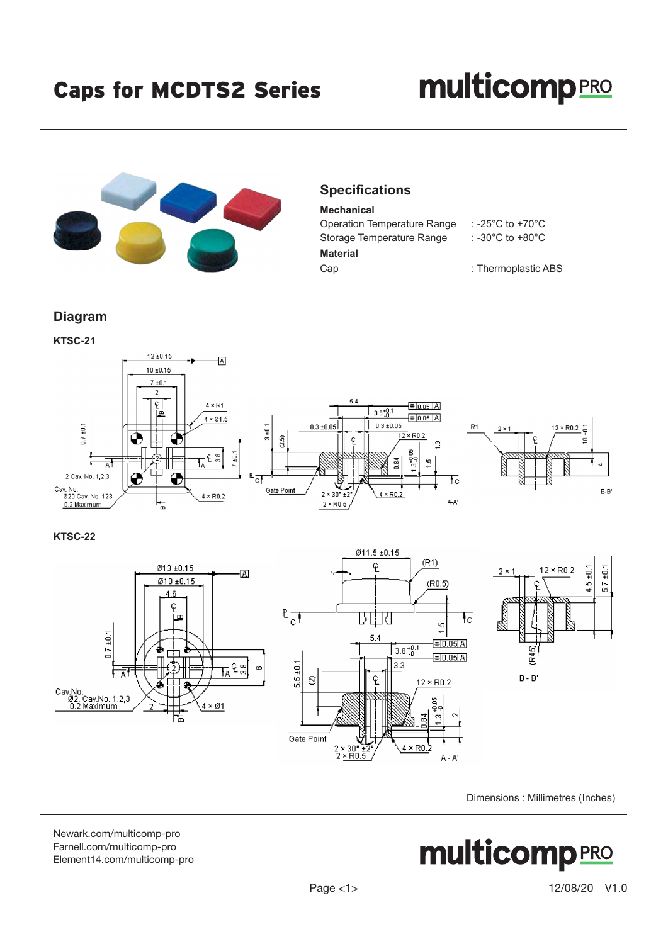## **multicomp**PRO



## **Specifications**

**Mechanical** Operation Temperature Range : -25°C to +70°C Storage Temperature Range : -30°C to +80°C **Material** Cap : Thermoplastic ABS

**Diagram KTSC-21**



**KTSC-22**





Dimensions : Millimetres (Inches)

[Newark.com/multicomp-](https://www.newark.com/multicomp-pro)pro [Farnell.com/multicomp](https://www.farnell.com/multicomp-pro)-pro [Element14.com/multicomp-pro](https://element14.com/multicomp-pro)

**multicomp**PRO